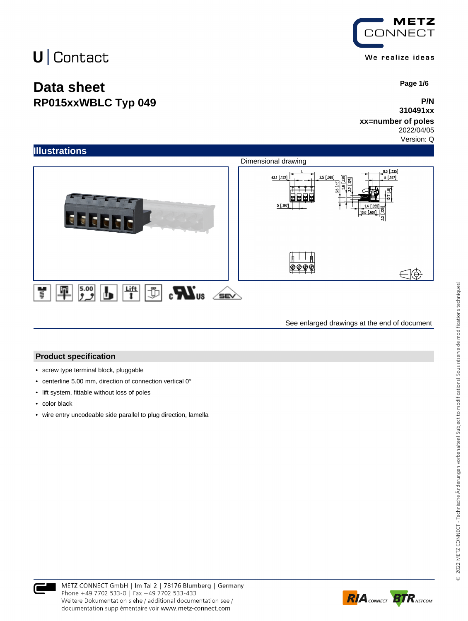## **Data sheet RP015xxWBLC Typ 049**



 **Page 1/6**

### **P/N 310491xx**

### **xx=number of poles**

2022/04/05

Version: Q



See enlarged drawings at the end of document

#### **Product specification**

- screw type terminal block, pluggable
- centerline 5.00 mm, direction of connection vertical 0°
- lift system, fittable without loss of poles
- color black
- wire entry uncodeable side parallel to plug direction, lamella



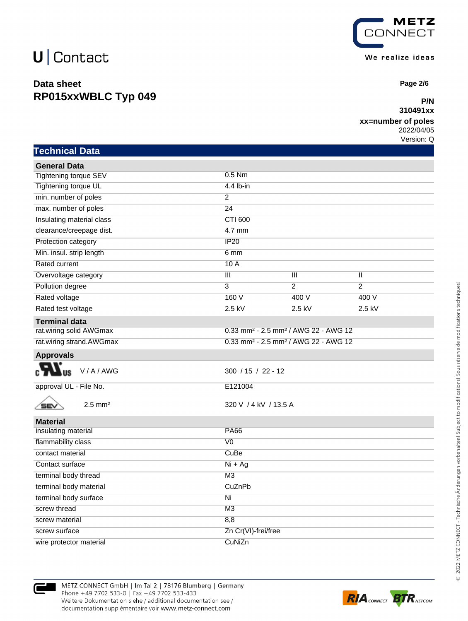## **Data sheet RP015xxWBLC Typ 049**



 **Page 2/6**

## **P/N**

### **xx=number of poles**

2022/04/05 Version: Q

| Technical Data                |                                                              |                |                         |  |
|-------------------------------|--------------------------------------------------------------|----------------|-------------------------|--|
| <b>General Data</b>           |                                                              |                |                         |  |
| Tightening torque SEV         | 0.5 Nm                                                       |                |                         |  |
| Tightening torque UL          | 4.4 lb-in                                                    |                |                         |  |
| min. number of poles          | $\overline{2}$                                               |                |                         |  |
| max. number of poles          | 24                                                           |                |                         |  |
| Insulating material class     | <b>CTI 600</b>                                               |                |                         |  |
| clearance/creepage dist.      | 4.7 mm                                                       |                |                         |  |
| Protection category           | IP20                                                         |                |                         |  |
| Min. insul. strip length      | 6 mm                                                         |                |                         |  |
| Rated current                 | 10 A                                                         |                |                         |  |
| Overvoltage category          | $\overline{\mathbf{H}}$                                      | Ш              | $\overline{\mathbb{I}}$ |  |
| Pollution degree              | $\overline{3}$                                               | $\overline{2}$ | $\overline{2}$          |  |
| Rated voltage                 | 160 V                                                        | 400 V          | 400 V                   |  |
| Rated test voltage            | $2.5$ kV                                                     | $2.5$ kV       | 2.5 kV                  |  |
| <b>Terminal data</b>          |                                                              |                |                         |  |
| rat.wiring solid AWGmax       | 0.33 mm <sup>2</sup> - 2.5 mm <sup>2</sup> / AWG 22 - AWG 12 |                |                         |  |
| rat.wiring strand.AWGmax      | 0.33 mm <sup>2</sup> - 2.5 mm <sup>2</sup> / AWG 22 - AWG 12 |                |                         |  |
| <b>Approvals</b>              |                                                              |                |                         |  |
| V/A/AWG                       | $300 / 15 / 22 - 12$                                         |                |                         |  |
| approval UL - File No.        | E121004                                                      |                |                         |  |
| $2.5$ mm <sup>2</sup><br>'SEV | 320 V / 4 kV / 13.5 A                                        |                |                         |  |
| <b>Material</b>               |                                                              |                |                         |  |
| insulating material           | <b>PA66</b>                                                  |                |                         |  |
| flammability class            | $\overline{V}$                                               |                |                         |  |
| contact material              | CuBe                                                         |                |                         |  |
| Contact surface               | $Ni + Ag$                                                    |                |                         |  |
| terminal body thread          | M <sub>3</sub>                                               |                |                         |  |
| terminal body material        | CuZnPb                                                       |                |                         |  |
| terminal body surface         | Ni                                                           |                |                         |  |
| screw thread                  | M3                                                           |                |                         |  |
| screw material                | 8,8                                                          |                |                         |  |
| screw surface                 | Zn Cr(VI)-frei/free                                          |                |                         |  |
| wire protector material       | CuNiZn                                                       |                |                         |  |



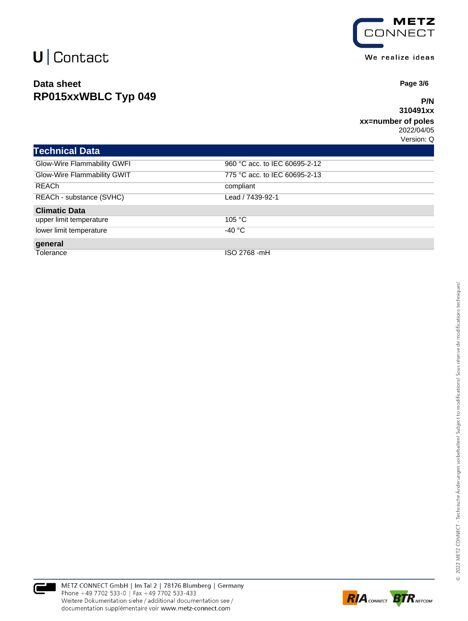## **Data sheet RP015xxWBLC Typ 049**



 **Page 3/6**

### **P/N 310491xx**

#### **xx=number of poles** 2022/04/05

Version: Q

| <b>Technical Data</b>       |                               |
|-----------------------------|-------------------------------|
| Glow-Wire Flammability GWFI | 960 °C acc. to IEC 60695-2-12 |
| Glow-Wire Flammability GWIT | 775 °C acc. to IEC 60695-2-13 |
| <b>REACh</b>                | compliant                     |
| REACh - substance (SVHC)    | Lead / 7439-92-1              |
| <b>Climatic Data</b>        |                               |
| upper limit temperature     | 105 $\degree$ C               |
| lower limit temperature     | -40 °C                        |
| general                     |                               |
| Tolerance                   | ISO 2768 -mH                  |



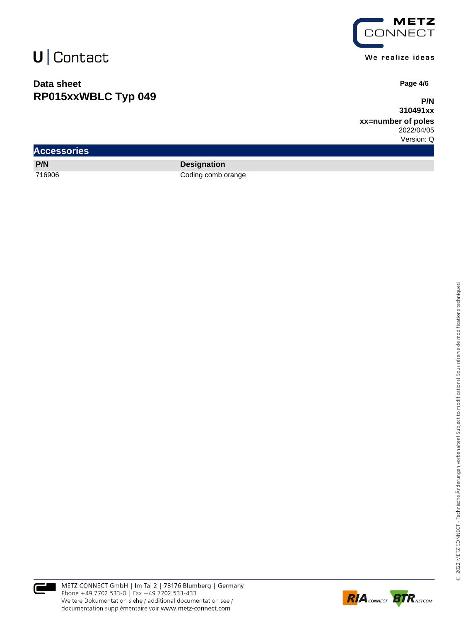## **Data sheet RP015xxWBLC Typ 049**



 **Page 4/6**

**P/N 310491xx**

**xx=number of poles** 2022/04/05

Version: Q

| <b>Accessories</b> |                    |  |
|--------------------|--------------------|--|
| P/N                | <b>Designation</b> |  |
| 716906             | Coding comb orange |  |



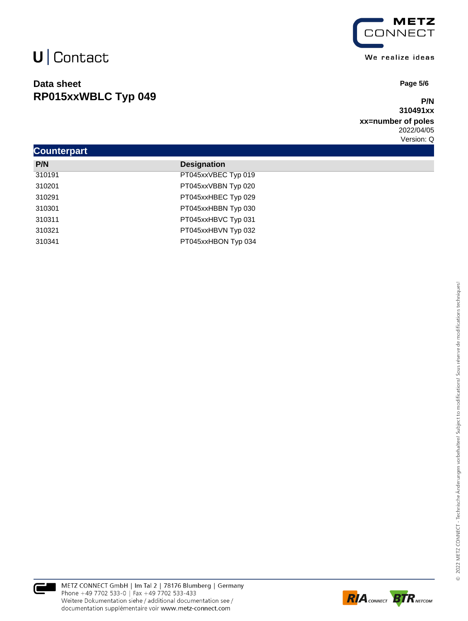## **Data sheet RP015xxWBLC Typ 049**



 **Page 5/6**

### **P/N 310491xx**

**xx=number of poles** 2022/04/05 Version: Q

| <b>Counterpart</b> |                     |  |  |  |
|--------------------|---------------------|--|--|--|
| P/N                | <b>Designation</b>  |  |  |  |
| 310191             | PT045xxVBEC Typ 019 |  |  |  |
| 310201             | PT045xxVBBN Typ 020 |  |  |  |
| 310291             | PT045xxHBEC Typ 029 |  |  |  |
| 310301             | PT045xxHBBN Typ 030 |  |  |  |
| 310311             | PT045xxHBVC Typ 031 |  |  |  |
| 310321             | PT045xxHBVN Typ 032 |  |  |  |
| 310341             | PT045xxHBON Typ 034 |  |  |  |